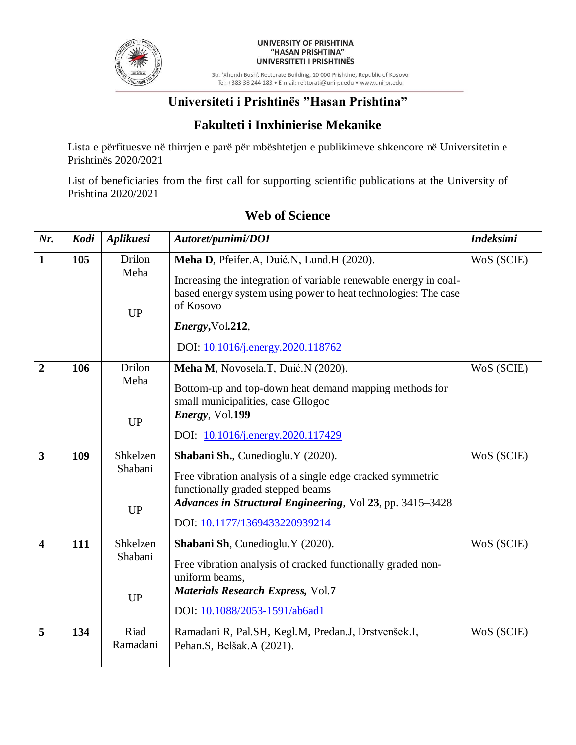

#### UNIVERSITY OF PRISHTINA "HASAN PRISHTINA" UNIVERSITETI I PRISHTINËS

Str. 'Xhorxh Bush', Rectorate Building, 10 000 Prishtinë, Republic of Kosovo Tel: +383 38 244 183 · E-mail: rektorati@uni-pr.edu · www.uni-pr.edu

# **Universiteti i Prishtinës "Hasan Prishtina"**

## **Fakulteti i Inxhinierise Mekanike**

Lista e përfituesve në thirrjen e parë për mbështetjen e publikimeve shkencore në Universitetin e Prishtinës 2020/2021

List of beneficiaries from the first call for supporting scientific publications at the University of Prishtina 2020/2021

| Nr.                     | <b>Kodi</b> | Aplikuesi                        | Autoret/punimi/DOI                                                                                                                                                                                                                  | <b>Indeksimi</b> |
|-------------------------|-------------|----------------------------------|-------------------------------------------------------------------------------------------------------------------------------------------------------------------------------------------------------------------------------------|------------------|
| $\mathbf{1}$            | 105         | Drilon<br>Meha<br><b>UP</b>      | Meha D, Pfeifer.A, Duić.N, Lund.H (2020).<br>Increasing the integration of variable renewable energy in coal-<br>based energy system using power to heat technologies: The case<br>of Kosovo                                        | WoS (SCIE)       |
|                         |             |                                  | Energy, Vol.212,<br>DOI: 10.1016/j.energy.2020.118762                                                                                                                                                                               |                  |
| $\overline{2}$          | 106         | Drilon<br>Meha<br><b>UP</b>      | Meha M, Novosela.T, Duić.N (2020).<br>Bottom-up and top-down heat demand mapping methods for<br>small municipalities, case Gllogoc<br>Energy, Vol.199                                                                               | WoS (SCIE)       |
| $\overline{\mathbf{3}}$ |             | Shkelzen                         | DOI: 10.1016/j.energy.2020.117429                                                                                                                                                                                                   |                  |
|                         | 109         | Shabani<br><b>UP</b>             | Shabani Sh., Cunedioglu. Y (2020).<br>Free vibration analysis of a single edge cracked symmetric<br>functionally graded stepped beams<br>Advances in Structural Engineering, Vol 23, pp. 3415-3428<br>DOI: 10.1177/1369433220939214 | WoS (SCIE)       |
| $\overline{\mathbf{4}}$ | 111         | Shkelzen<br>Shabani<br><b>UP</b> | Shabani Sh, Cunedioglu. Y (2020).<br>Free vibration analysis of cracked functionally graded non-<br>uniform beams,<br>Materials Research Express, Vol.7<br>DOI: 10.1088/2053-1591/ab6ad1                                            | WoS (SCIE)       |
| 5                       | 134         | Riad<br>Ramadani                 | Ramadani R, Pal.SH, Kegl.M, Predan.J, Drstvenšek.I,<br>Pehan.S, Belšak.A (2021).                                                                                                                                                    | WoS (SCIE)       |

# **Web of Science**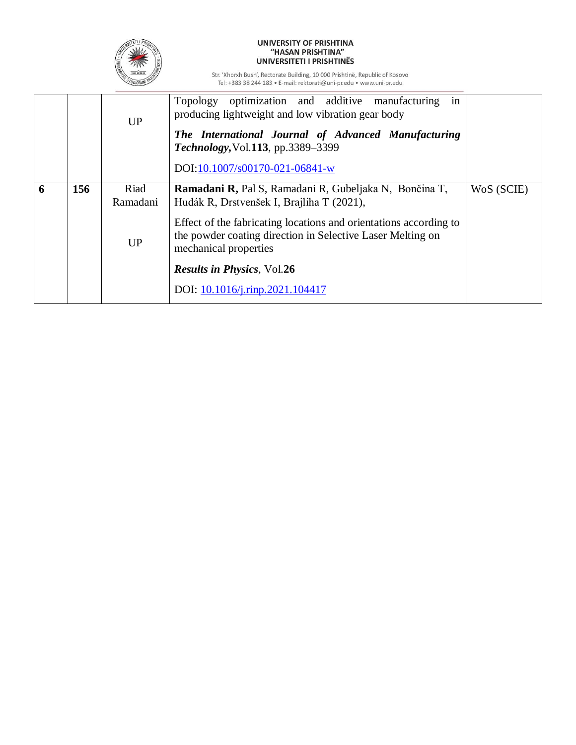

## UNIVERSITY OF PRISHTINA<br>"HASAN PRISHTINA" UNIVERSITETI I PRISHTINËS

Str. 'Xhorxh Bush', Rectorate Building, 10 000 Prishtinë, Republic of Kosovo<br>Tel: +383 38 244 183 • E-mail: rektorati@uni-pr.edu • www.uni-pr.edu

|   |     | <b>UP</b> | in<br>Topology optimization and additive manufacturing<br>producing lightweight and low vibration gear body<br>The International Journal of Advanced Manufacturing<br>Technology, Vol.113, pp.3389-3399<br>DOI:10.1007/s00170-021-06841-w |            |
|---|-----|-----------|-------------------------------------------------------------------------------------------------------------------------------------------------------------------------------------------------------------------------------------------|------------|
| 6 | 156 | Riad      | Ramadani R, Pal S, Ramadani R, Gubeljaka N, Bončina T,                                                                                                                                                                                    | WoS (SCIE) |
|   |     | Ramadani  | Hudák R, Drstvenšek I, Brajliha T (2021),                                                                                                                                                                                                 |            |
|   |     |           | Effect of the fabricating locations and orientations according to                                                                                                                                                                         |            |
|   |     | <b>UP</b> | the powder coating direction in Selective Laser Melting on<br>mechanical properties                                                                                                                                                       |            |
|   |     |           | <b>Results in Physics, Vol.26</b>                                                                                                                                                                                                         |            |
|   |     |           | DOI: 10.1016/j.rinp.2021.104417                                                                                                                                                                                                           |            |